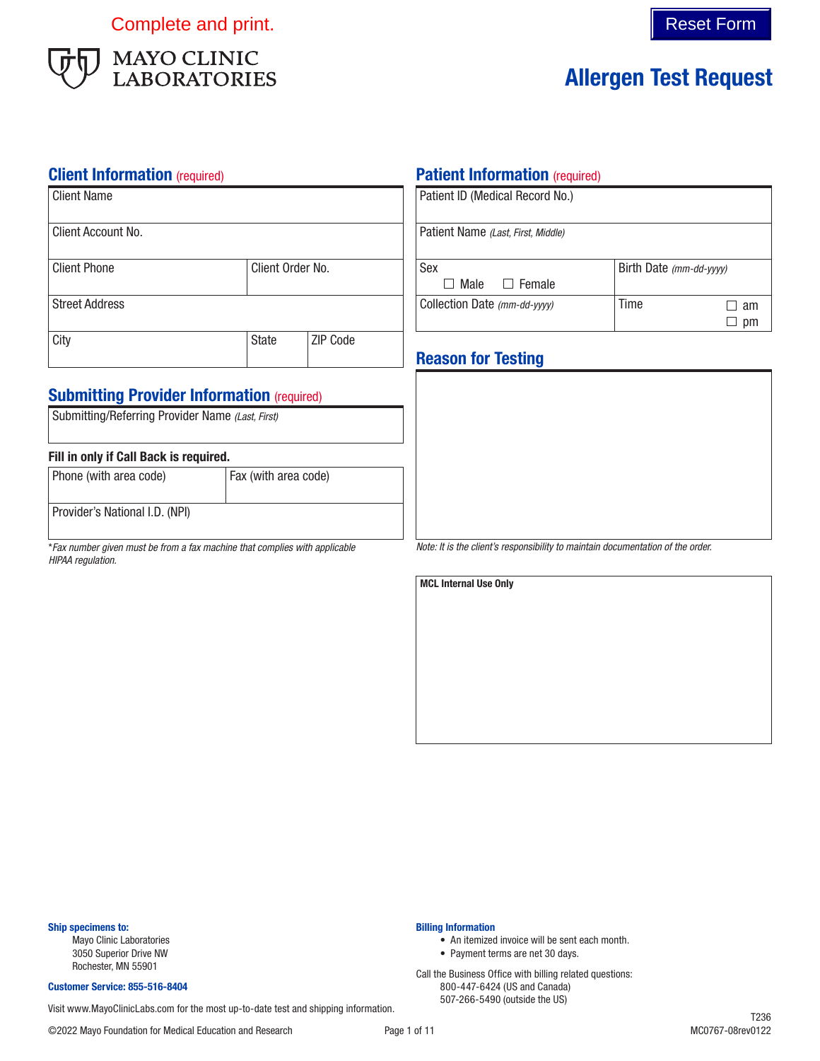Complete and print. The complete and print.



# Allergen Test Request

#### **Client Information** (required)

| Client Name           |                  |                 |
|-----------------------|------------------|-----------------|
| Client Account No.    |                  |                 |
| <b>Client Phone</b>   | Client Order No. |                 |
| <b>Street Address</b> |                  |                 |
| City                  | <b>State</b>     | <b>ZIP Code</b> |

### **Submitting Provider Information (required)**

| Submitting/Referring Provider Name (Last, First) |                      |
|--------------------------------------------------|----------------------|
| Fill in only if Call Back is required.           |                      |
| Phone (with area code)                           | Fax (with area code) |

Provider's National I.D. (NPI)

\**Fax number given must be from a fax machine that complies with applicable HIPAA regulation.*

### **Patient Information (required)**

| Patient ID (Medical Record No.)    |                         |
|------------------------------------|-------------------------|
| Patient Name (Last, First, Middle) |                         |
| Sex                                | Birth Date (mm-dd-yyyy) |
| $\Box$ Male<br>$\Box$ Female       |                         |
| Collection Date (mm-dd-yyyy)       | Time<br>am              |
|                                    | рm                      |

### Reason for Testing

*Note: It is the client's responsibility to maintain documentation of the order.*

MCL Internal Use Only

Ship specimens to:

Mayo Clinic Laboratories 3050 Superior Drive NW Rochester, MN 55901

#### Customer Service: 855-516-8404

507-266-5490 (outside the US) Visit www.MayoClinicLabs.com for the most up-to-date test and shipping information.

Billing Information

• An itemized invoice will be sent each month.

• Payment terms are net 30 days. Call the Business Office with billing related questions: 800-447-6424 (US and Canada)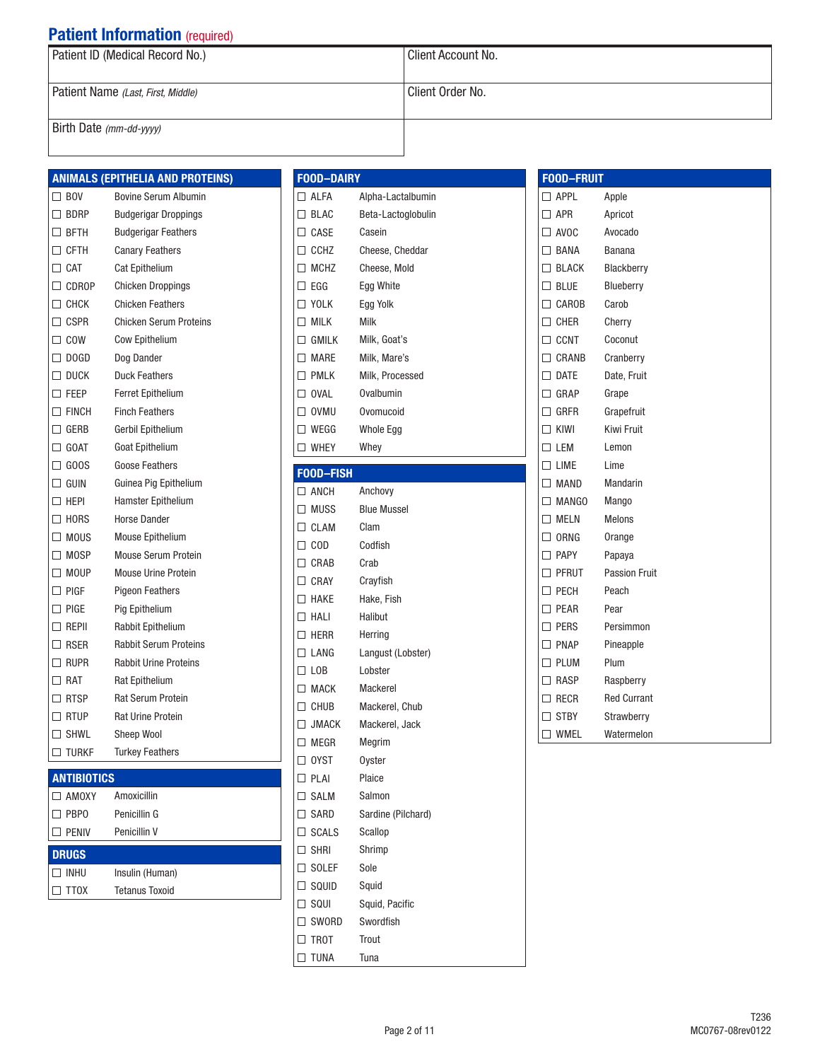| Patient ID (Medical Record No.)    | Client Account No. |
|------------------------------------|--------------------|
| Patient Name (Last, First, Middle) | Client Order No.   |
| Birth Date (mm-dd-yyyy)            |                    |

|                 | <b>ANIMALS (EPITHELIA AND PROTEINS)</b> |
|-----------------|-----------------------------------------|
| $\Box$ BOV      | <b>Bovine Serum Albumin</b>             |
| $\Box$ BDRP     | <b>Budgerigar Droppings</b>             |
| $\Box$ bfth     | <b>Budgerigar Feathers</b>              |
| $\Box$ CFTH     | <b>Canary Feathers</b>                  |
| $\Box$ CAT      | <b>Cat Epithelium</b>                   |
| $\Box$ CDROP    | <b>Chicken Droppings</b>                |
| $\Box$ CHCK     | <b>Chicken Feathers</b>                 |
| $\Box$ CSPR     | <b>Chicken Serum Proteins</b>           |
| $\Box$ COW      | Cow Epithelium                          |
| $\Box$ DOGD     | Dog Dander                              |
| $\square$ Duck  | <b>Duck Feathers</b>                    |
| $\Box$ FEEP     | Ferret Epithelium                       |
| $\square$ finch | <b>Finch Feathers</b>                   |
| $\square$ gerb  | Gerbil Epithelium                       |
| $\Box$ GOAT     | <b>Goat Epithelium</b>                  |
| $\Box$ GOOS     | <b>Goose Feathers</b>                   |
| $\Box$ guin     | Guinea Pig Epithelium                   |
| $\Box$ HEPI     | Hamster Epithelium                      |
| $\Box$ HORS     | <b>Horse Dander</b>                     |
| $\Box$ MOUS     | <b>Mouse Epithelium</b>                 |
| $\Box$ MOSP     | <b>Mouse Serum Protein</b>              |
| $\Box$ MOUP     | <b>Mouse Urine Protein</b>              |
| $\Box$ Pigf     | <b>Pigeon Feathers</b>                  |
| $\square$ Pige  | Pig Epithelium                          |
| $\Box$ repii    | Rabbit Epithelium                       |
| $\Box$ RSER     | <b>Rabbit Serum Proteins</b>            |
| $\Box$ Rupr     | <b>Rabbit Urine Proteins</b>            |
| $\Box$ RAT      | <b>Rat Epithelium</b>                   |
| $\Box$ RTSP     | <b>Rat Serum Protein</b>                |
| $\Box$ RTUP     | <b>Rat Urine Protein</b>                |
| $\Box$ shwl     | <b>Sheep Wool</b>                       |
| $\Box$ TURKF    | <b>Turkey Feathers</b>                  |

### **ANTIBIOTICS**

| $\Box$ AMOXY | Amoxicillin     |  |
|--------------|-----------------|--|
| $\Box$ PBP0  | Penicillin G    |  |
| <b>PENIV</b> | Penicillin V    |  |
|              |                 |  |
| <b>DRUGS</b> |                 |  |
| INHU         | Insulin (Human) |  |

| <b>FOOD-DAIRY</b> |                    |
|-------------------|--------------------|
| $\Box$ ALFA       | Alpha-Lactalbumin  |
| $\Box$ BLAC       | Beta-Lactoglobulin |
| $\Box$ CASE       | Casein             |
| $\Box$ CCHZ       | Cheese, Cheddar    |
| $\Box$ MCHZ       | Cheese, Mold       |
| $\Box$ egg        | Egg White          |
| $\Box$ Yolk       | Egg Yolk           |
| $\Box$ Milk       | Milk               |
| $\Box$ GMILK      | Milk, Goat's       |
| $\Box$ MARE       | Milk, Mare's       |
| $\Box$ PMLK       | Milk, Processed    |
| $\Box$ OVAL       | Ovalbumin          |
| $\Box$ OVMU       | Ovomucoid          |
| $\Box$ Wegg       | Whole Egg          |
| $\Box$ WHEY       | Whey               |
| <b>FOOD-FISH</b>  |                    |
| $\Box$ ANCH       | Anchovy            |
| $\Box$ MUSS       | <b>Blue Mussel</b> |
| $\Box$ CLAM       | Clam               |
| $\Box$ COD        | Codfish            |
| $\Box$ CRAB       | Crab               |
| $\Box$ CRAY       | Crayfish           |
| $\Box$ HAKE       | Hake, Fish         |
| $\Box$ Hali       | Halibut            |
| $\square$ Herr    | Herring            |
| $\Box$ LANG       | Langust (Lobster)  |
| $\Box$ LOB        | Lobster            |
| $\Box$ MACK       | <b>Mackerel</b>    |
| $\Box$ Chub       | Mackerel, Chub     |
| $\Box$ JMACK      | Mackerel, Jack     |
| $\Box$ Megr       | Megrim             |
| $\Box$ OYST       | <b>Ovster</b>      |
| $\Box$ PLAI       | Plaice             |
| $\Box$ SALM       | Salmon             |
| $\Box$ SARD       | Sardine (Pilchard) |
| $\Box$ SCALS      | Scallop            |
| $\square$ shri    | Shrimp             |
| $\Box$ SOLEF      | Sole               |
| $\Box$ squid      | Squid              |
| $\Box$ squi       | Squid, Pacific     |
| $\Box$ SWORD      | Swordfish          |
| $\Box$ TROT       | Trout              |
| $\Box$ TUNA       | Tuna               |

| <b>FOOD-FRUIT</b>     |                      |
|-----------------------|----------------------|
| $\Box$ APPL           | Apple                |
| $\Box$ APR            | Apricot              |
| $\Box$ AVOC           | Avocado              |
| $\Box$ BANA           | Banana               |
| $\Box$ BLACK          | Blackberry           |
| $\Box$ BLUE           | Blueberry            |
| $\Box$ CAROB          | Carob                |
| $\Box$ CHER           | Cherry               |
| $\Box$ CCNT           | Coconut              |
| $\Box$ CRANB          | Cranberry            |
| $\Box$ DATE           | Date, Fruit          |
| $\Box$ GRAP           | Grape                |
| $\Box$ Gree           | Grapefruit           |
| $\Box$ KIWI           | Kiwi Fruit           |
| LEM<br>П              | Lemon                |
| LIME<br>П             | Lime                 |
| $\square$ MAND        | Mandarin             |
| $\Box$ MANGO          | Mango                |
| $\Box$ MELN           | Melons               |
| $\Box$ ORNG           | Orange               |
| $\Box$ PAPY           | Papaya               |
| $\square$ PFRUT       | <b>Passion Fruit</b> |
| $\Box$ PECH           | Peach                |
| $\Box$ PEAR           | Pear                 |
| $\square$ pers        | Persimmon            |
| PNAP<br>П             | Pineapple            |
| $\Box$ PLUM           | Plum                 |
| $\Box$ RASP           | Raspberry            |
| RECR<br>$\mathsf{L}$  | <b>Red Currant</b>   |
| <b>STBY</b><br>$\Box$ | Strawberry           |
| WMEL<br>П             | Watermelon           |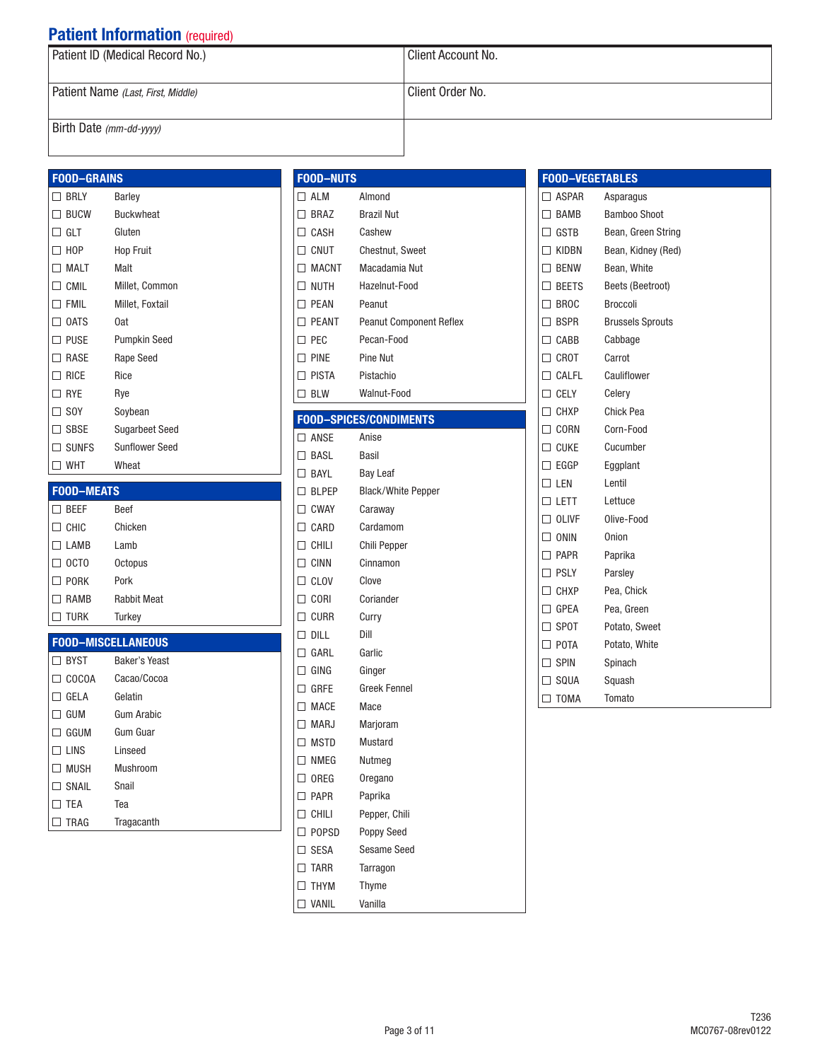| Patient ID (Medical Record No.)    | Client Account No. |
|------------------------------------|--------------------|
| Patient Name (Last, First, Middle) | Client Order No.   |
| Birth Date (mm-dd-yyyy)            |                    |

#### FOOD–GRAINS

| <b>BRLY</b>    | Barley                |
|----------------|-----------------------|
| $\Box$ BUCW    | <b>Buckwheat</b>      |
| $\sqcap$ glt   | Gluten                |
| $\Box$ HOP     | <b>Hop Fruit</b>      |
| MALT           | Malt                  |
| $\Box$ cmil    | Millet, Common        |
| $\Box$ FMIL    | Millet, Foxtail       |
| $\Box$ OATS    | 0at                   |
| $\square$ puse | Pumpkin Seed          |
| $\Box$ rase    | <b>Rape Seed</b>      |
| $\Box$ Rice    | Rice                  |
| $\Box$ RYE     | Rye                   |
| $\Box$ SOY     | Soybean               |
| $\square$ SBSE | <b>Sugarbeet Seed</b> |
| $\Box$ sunfs   | <b>Sunflower Seed</b> |
| WHT            | Wheat                 |

#### FOOD–MEATS

| <b>BEEF</b>                 | <b>Beef</b>        |
|-----------------------------|--------------------|
| CHIC                        | Chicken            |
| LAMB                        | Lamb               |
| OCT <sub>0</sub>            | Octopus            |
| <b>PORK</b><br>$\mathsf{L}$ | Pork               |
| RAMB                        | <b>Rabbit Meat</b> |
| <b>TURK</b>                 | Turkey             |
|                             |                    |

### FOOD–MISCELLANEOUS

| <b>BYST</b>  | <b>Baker's Yeast</b> |
|--------------|----------------------|
| <b>COCOA</b> | Cacao/Cocoa          |
| GELA         | Gelatin              |
| GUM          | Gum Arabic           |
| GGUM         | Gum Guar             |
| <b>LINS</b>  | Linseed              |
| <b>MUSH</b>  | Mushroom             |
| SNAIL        | Snail                |
| <b>TFA</b>   | Tea                  |
| TRAG         | Tragacanth           |

| <b>FOOD-NUTS</b>              |                                |
|-------------------------------|--------------------------------|
| ∃ ALM                         | Almond                         |
| BRA7                          | <b>Brazil Nut</b>              |
| CASH                          | Cashew                         |
| CNUT                          | <b>Chestnut, Sweet</b>         |
| <b>MACNT</b>                  | Macadamia Nut                  |
| <b>NUTH</b>                   | Hazelnut-Food                  |
| <b>PEAN</b>                   | Peanut                         |
| <b>PFANT</b>                  | <b>Peanut Component Reflex</b> |
| PFC                           | Pecan-Food                     |
| <b>PINE</b>                   | Pine Nut                       |
| <b>PISTA</b>                  | Pistachio                      |
| <b>BLW</b>                    | Walnut-Food                    |
|                               |                                |
| <b>FOOD-SPICES/CONDIMENTS</b> |                                |

| $\Box$ anse  | Anise                     |
|--------------|---------------------------|
| $\Box$ Basl  | <b>Basil</b>              |
| $\Box$ BAYL  | <b>Bay Leaf</b>           |
| $\Box$ BLPEP | <b>Black/White Pepper</b> |
| $\Box$ CWAY  | Caraway                   |
| $\Box$ CARD  | Cardamom                  |
| $\Box$ chili | Chili Pepper              |
| $\Box$ cinn  | Cinnamon                  |
| $\Box$ CLOV  | Clove                     |
| $\Box$ Cori  | Coriander                 |
| $\Box$ curr  | Curry                     |
| $\Box$ dill  | Dill                      |
| $\Box$ GARL  | Garlic                    |
| $\Box$ ging  | Ginger                    |
| $\Box$ GRFE  | <b>Greek Fennel</b>       |
| $\Box$ MACE  | Mace                      |
| $\Box$ MARJ  | Marjoram                  |
| $\Box$ MSTD  | <b>Mustard</b>            |
| $\Box$ nmeg  | Nutmeg                    |
| $\Box$ oreg  | Oregano                   |
| $\Box$ PAPR  | Paprika                   |
| $\Box$ chili | Pepper, Chili             |
| $\Box$ POPSD | Poppy Seed                |
| $\Box$ SESA  | <b>Sesame Seed</b>        |
| $\Box$ tarr  | Tarragon                  |
| $\Box$ THYM  | Thyme                     |
| $\Box$ vanil | Vanilla                   |
|              |                           |

| <b>FOOD-VEGETABLES</b> |                         |
|------------------------|-------------------------|
| $\Box$ ASPAR           | Asparagus               |
| $\Box$ BAMB            | <b>Bamboo Shoot</b>     |
| $\Box$ GSTB            | Bean, Green String      |
| $\Box$ Kidbn           | Bean, Kidney (Red)      |
| $\Box$ BENW            | Bean, White             |
| $\square$ beets        | Beets (Beetroot)        |
| $\Box$ BROC            | <b>Broccoli</b>         |
| $\Box$ BSPR            | <b>Brussels Sprouts</b> |
| $\Box$ CABB            | Cabbage                 |
| $\Box$ CROT            | Carrot                  |
| $\Box$ CALFL           | Cauliflower             |
| $\Box$ CELY            | Celery                  |
| $\Box$ CHXP            | Chick Pea               |
| $\Box$ CORN            | Corn-Food               |
| $\Box$ cuke            | Cucumber                |
| $\Box$ eggp            | Eggplant                |
| $\square$ len          | Lentil                  |
| $\Box$ lett            | Lettuce                 |
| $\Box$ olive           | Olive-Food              |
| $\Box$ ONIN            | Onion                   |
| $\square$ PAPR         | Paprika                 |
| $\Box$ PSLY            | Parsley                 |
| $\Box$ CHXP            | Pea, Chick              |
| $\Box$ GPEA            | Pea, Green              |
| $\Box$ SPOT            | Potato, Sweet           |
| $\Box$ POTA            | Potato, White           |
| $\Box$ SPIN            | Spinach                 |
| $\square$ SQUA         | Squash                  |
| TOMA<br>٦              | Tomato                  |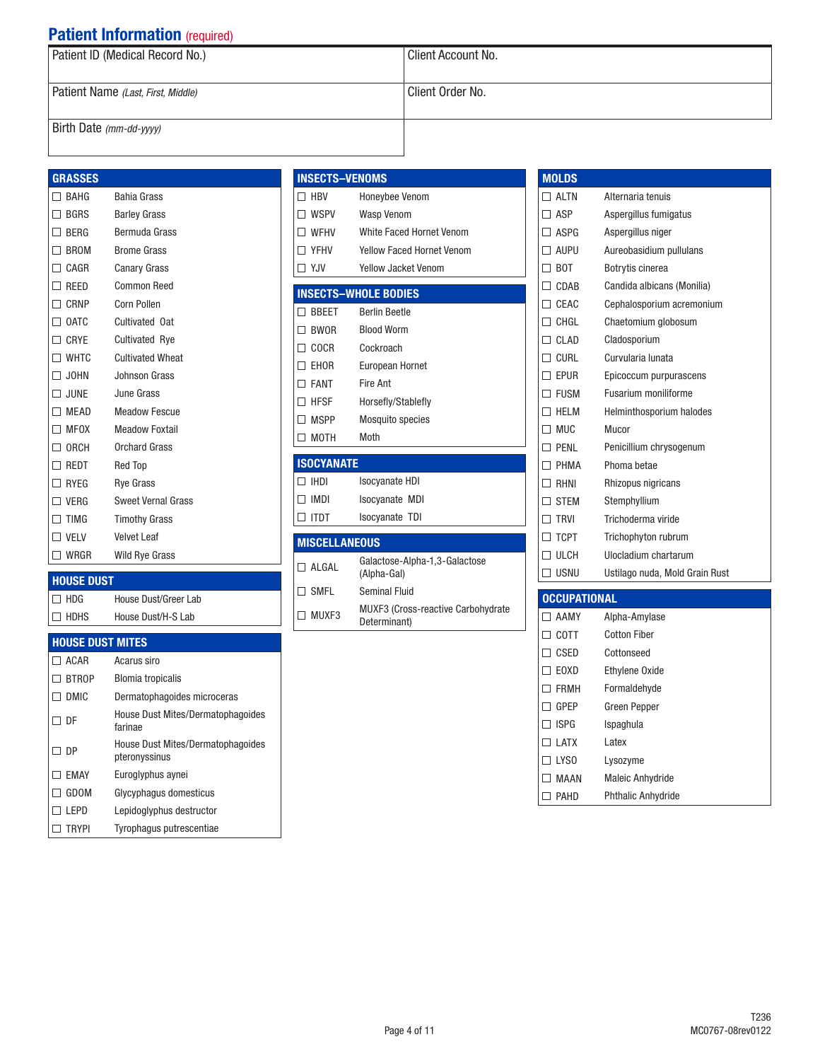| Patient ID (Medical Record No.)    | l Client Account No. |  |
|------------------------------------|----------------------|--|
| Patient Name (Last, First, Middle) | Client Order No.     |  |
| Birth Date $(mm$ -dd-yyyy)         |                      |  |

### GRASSES

| $\Box$<br>BAHG        | <b>Bahia Grass</b>        |
|-----------------------|---------------------------|
| <b>BGRS</b><br>П.     | <b>Barley Grass</b>       |
| $\Box$ berg           | Bermuda Grass             |
| $\Box$<br><b>BROM</b> | <b>Brome Grass</b>        |
| $\Box$ cagr           | Canary Grass              |
| $\Box$ Reed           | <b>Common Reed</b>        |
| $\Box$ CRNP           | Corn Pollen               |
| $\Box$ OATC           | <b>Cultivated Oat</b>     |
| CRYE<br>П.            | <b>Cultivated Rye</b>     |
| $\Box$ WHTC           | <b>Cultivated Wheat</b>   |
| $\Box$ JOHN           | Johnson Grass             |
| $\square$ June        | June Grass                |
| MEAD<br>П.            | <b>Meadow Fescue</b>      |
| $\Box$ MFOX           | <b>Meadow Foxtail</b>     |
| $\Box$ ORCH           | <b>Orchard Grass</b>      |
| $\Box$ redt           | <b>Red Top</b>            |
| $\Box$ RYEG           | <b>Rye Grass</b>          |
| $\Box$ verg           | <b>Sweet Vernal Grass</b> |
| TIMG<br>П             | <b>Timothy Grass</b>      |
| $\Box$ Velv           | <b>Velvet Leaf</b>        |
| $\square$ WRGR        | <b>Wild Rye Grass</b>     |

#### HOUSE DUST

House Dust/Greer Lab □ HDHS House Dust/H-S Lab

#### HOUSE DUST MITES

| ו טטש בוטטיוו | -----                                                     |
|---------------|-----------------------------------------------------------|
| <b>ACAR</b>   | Acarus siro                                               |
| <b>BTROP</b>  | <b>Blomia tropicalis</b>                                  |
| DMIC          | Dermatophagoides microceras                               |
| DF            | House Dust Mites/Dermatophagoides<br>farinae              |
| DP            | <b>House Dust Mites/Dermatophagoides</b><br>pteronyssinus |
| <b>EMAY</b>   | Euroglyphus aynei                                         |
| GDOM          | Glycyphagus domesticus                                    |
| I FPD         | Lepidoglyphus destructor                                  |
| trypi         | Tyrophagus putrescentiae                                  |

|   |                   | <b>INSECTS-VENOMS</b>            |
|---|-------------------|----------------------------------|
|   | $\Box$ HBV        | Honeybee Venom                   |
|   | $\Box$ wspv       | Wasp Venom                       |
|   | $\Box$ WFHV       | White Faced Hornet Venom         |
|   | $\Box$ YFHV       | <b>Yellow Faced Hornet Venom</b> |
|   | $\Box$ YJV        | Yellow Jacket Venom              |
|   |                   |                                  |
|   |                   | <b>INSECTS-WHOLE BODIES</b>      |
|   | $\Box$ BBEET      | <b>Berlin Beetle</b>             |
|   | $\Box$ BWOR       | <b>Blood Worm</b>                |
|   | $\Box$ COCR       | Cockroach                        |
|   | $\Box$ EHOR       | European Hornet                  |
|   | $\Box$ FANT       | Fire Ant                         |
| П | <b>HFSF</b>       | Horsefly/Stablefly               |
| П | <b>MSPP</b>       | <b>Mosquito species</b>          |
|   | $\Box$ MOTH       | Moth                             |
|   |                   |                                  |
|   | <b>ISOCYANATE</b> |                                  |
|   | י הוווח           | $l$ aaniaaata $IIDI$             |

| .                      |                       |  |
|------------------------|-----------------------|--|
| $\Box$ IHDI            | <b>Isocyanate HDI</b> |  |
| $\Box$ IMDI            | <b>Isocyanate MDI</b> |  |
| $\Box$ ITDT            | <b>Isocyanate TDI</b> |  |
|                        |                       |  |
| <b>BRIANELL AMENUA</b> |                       |  |

#### MISCELLANEOUS

| $\sqcap$ algal                 | Galactose-Alpha-1,3-Galactose<br>(Alpha-Gal)               |
|--------------------------------|------------------------------------------------------------|
| $\mathsf{I} \mathsf{\Pi}$ smfl | Seminal Fluid                                              |
| $\square$ MUXF3                | <b>MUXF3 (Cross-reactive Carbohydrate)</b><br>Determinant) |

| <b>MOLDS</b>           |                                |
|------------------------|--------------------------------|
| $\Box$ ai tn           | Alternaria tenuis              |
| ASP                    | Aspergillus fumigatus          |
| ASPG                   | Aspergillus niger              |
| AUPU<br>H              | Aureobasidium pullulans        |
| <b>BOT</b><br>H        | <b>Botrytis cinerea</b>        |
| CDAB<br>H              | Candida albicans (Monilia)     |
| CEAC                   | Cephalosporium acremonium      |
| CHGI<br>$\blacksquare$ | Chaetomium globosum            |
| CI AD                  | Cladosporium                   |
| <b>CURL</b>            | Curvularia lunata              |
| <b>EPUR</b>            | Epicoccum purpurascens         |
| <b>FUSM</b>            | <b>Fusarium moniliforme</b>    |
| HFI M                  | Helminthosporium halodes       |
| <b>MUC</b><br>H        | Mucor                          |
| PFNI                   | Penicillium chrysogenum        |
| PHMA                   | Phoma betae                    |
| RHNI                   | Rhizopus nigricans             |
| <b>STEM</b>            | Stemphyllium                   |
| <b>TRVI</b>            | Trichoderma viride             |
| <b>TCPT</b>            | Trichophyton rubrum            |
| <b>ULCH</b>            | Ulocladium chartarum           |
| USNU<br>$\mathsf{L}$   | Ustilago nuda, Mold Grain Rust |

## **OCCUPATIONAL**

| AAMY                             | Alpha-Amylase             |
|----------------------------------|---------------------------|
| $\Box$ cott                      | <b>Cotton Fiber</b>       |
| CSED                             | Cottonseed                |
| <b>FOXD</b><br>$\perp$           | <b>Ethylene Oxide</b>     |
| <b>FRMH</b>                      | Formaldehyde              |
| GPFP                             | Green Pepper              |
| <b>ISPG</b>                      | Ispaghula                 |
| <b>I ATX</b><br>. .              | I atex                    |
| LYS <sub>0</sub><br>$\mathsf{L}$ | Lysozyme                  |
| <b>MAAN</b>                      | <b>Maleic Anhydride</b>   |
| PAHD                             | <b>Phthalic Anhydride</b> |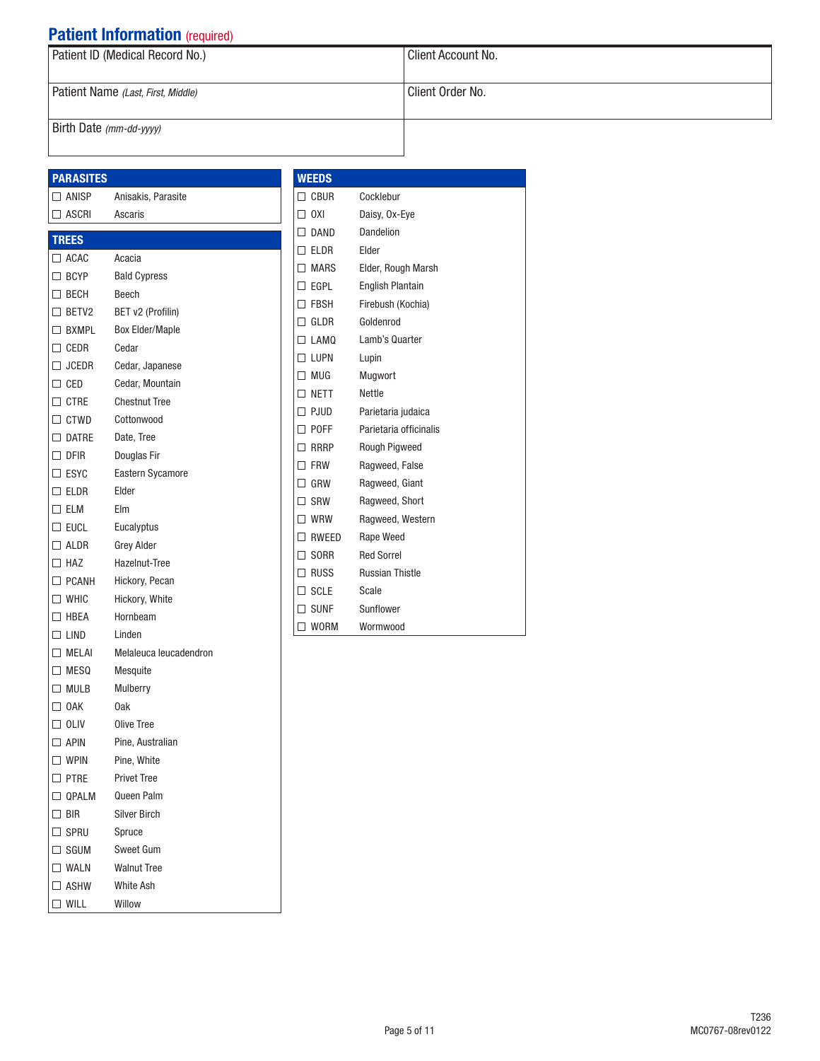| <b>Extractly internatively and the set of the set of the set of the set of the set of the set of the set of the s</b> |                    |
|-----------------------------------------------------------------------------------------------------------------------|--------------------|
| Patient ID (Medical Record No.)                                                                                       | Client Account No. |
| Patient Name (Last, First, Middle)                                                                                    | Client Order No.   |
| Birth Date $(mm$ -dd-yyyy)                                                                                            |                    |

#### PARASITES

#### □ ANISP Anisakis, Parasite ASCRI Ascaris

| <b>TREES</b>   |                         |
|----------------|-------------------------|
| $\Box$ ACAC    | Acacia                  |
| $\Box$ BCYP    | <b>Bald Cypress</b>     |
| $\Box$ BECH    | Beech                   |
| $\Box$ BETV2   | BET v2 (Profilin)       |
| $\Box$ BXMPL   | <b>Box Elder/Maple</b>  |
| $\Box$ CEDR    | Cedar                   |
| $\Box$ JCEDR   | Cedar, Japanese         |
| $\Box$ CED     | Cedar, Mountain         |
| $\Box$ ctre    | <b>Chestnut Tree</b>    |
| $\Box$ CTWD    | Cottonwood              |
| $\Box$ datre   | Date, Tree              |
| $\square$ DFIR | Douglas Fir             |
| $\square$ ESYC | <b>Eastern Sycamore</b> |
| $\square$ eldr | Elder                   |
| $\square$ elm  | Elm                     |
| $\square$ eucl | Eucalyptus              |
| $\Box$ ALDR    | <b>Grey Alder</b>       |
| $\Box$ HAZ     | Hazelnut-Tree           |
| $\Box$ PCANH   | Hickory, Pecan          |
| $\Box$ WHIC    | Hickory, White          |
| $\Box$ HBEA    | Hornbeam                |
| $\Box$ Lind    | Linden                  |
| $\Box$ MELAI   | Melaleuca leucadendron  |
| $\square$ MESQ | Mesquite                |
| $\Box$ Mulb    | Mulberry                |
| $\Box$ OAK     | 0ak                     |
| $\Box$ OLIV    | Olive Tree              |
| $\Box$ APIN    | Pine, Australian        |
| $\Box$ wpin    | Pine, White             |
| $\square$ PTRE | <b>Privet Tree</b>      |
| $\Box$ QPALM   | Queen Palm              |
| $\Box$ BIR     | <b>Silver Birch</b>     |
| $\Box$ Spru    | Spruce                  |
| $\Box$ sgum    | Sweet Gum               |
| $\square$ WALN | <b>Walnut Tree</b>      |
| $\Box$ ASHW    | <b>White Ash</b>        |
| $\square$ will | Willow                  |
|                |                         |

### **WEEDS**

| <b>CBUR</b>    | Cocklebur               |
|----------------|-------------------------|
| 0XI<br>П       | Daisy, Ox-Eye           |
| $\Box$ DAND    | Dandelion               |
| $\square$ eldr | Flder                   |
| $\Box$ MARS    | Elder, Rough Marsh      |
| EGPL<br>□      | <b>English Plantain</b> |
| $\Box$ FBSH    | Firebush (Kochia)       |
| GLDR<br>П      | Goldenrod               |
| $\Box$ LAMO    | Lamb's Quarter          |
| $\Box$ LUPN    | Lupin                   |
| $\Box$ MUG     | Mugwort                 |
| $\Box$ NFTT    | Nettle                  |
| $\Box$ PJUD    | Parietaria judaica      |
| $\square$ POFF | Parietaria officinalis  |
| $\Box$ RRRP    | Rough Pigweed           |
| □ FRW          | Ragweed, False          |
| GRW<br>п       | Ragweed, Giant          |
| $\square$ SRW  | Ragweed, Short          |
| WRW<br>П       | Ragweed, Western        |
| RWEED<br>П     | Rape Weed               |
| SORR<br>п      | <b>Red Sorrel</b>       |
| RUSS<br>٦      | <b>Russian Thistle</b>  |
| $\Box$ SCLE    | Scale                   |
| $\Box$ sunf    | Sunflower               |
| <b>WORM</b>    | Wormwood                |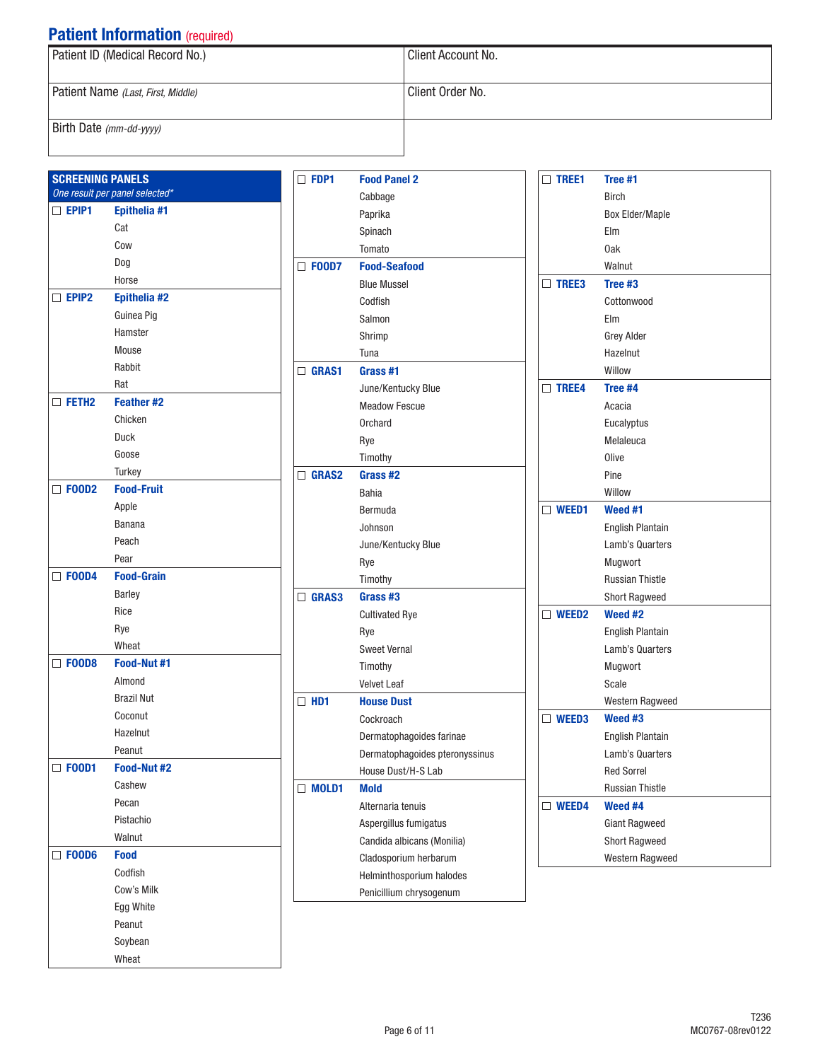| Patient ID (Medical Record No.)    | Client Account No. |
|------------------------------------|--------------------|
|                                    |                    |
| Patient Name (Last, First, Middle) | Client Order No.   |
|                                    |                    |
| Birth Date (mm-dd-yyyy)            |                    |

| <b>SCREENING PANELS</b> | One result per panel selected* |
|-------------------------|--------------------------------|
| $\Box$ Epip1            | Epithelia #1                   |
|                         | Cat                            |
|                         | Cow                            |
|                         | Dog                            |
|                         | Horse                          |
| $\Box$ Epip2            | Epithelia #2                   |
|                         | Guinea Pig                     |
|                         | Hamster                        |
|                         | Mouse                          |
|                         | Rabbit                         |
|                         | Rat                            |
| $\Box$ FETH2            | <b>Feather #2</b>              |
|                         |                                |
|                         | Chicken                        |
|                         | Duck                           |
|                         | Goose                          |
|                         | <b>Turkey</b>                  |
| $\Box$ FOOD2            | <b>Food-Fruit</b>              |
|                         | Apple                          |
|                         | Banana                         |
|                         | Peach                          |
|                         | Pear                           |
| $\Box$ FOOD4            | <b>Food-Grain</b>              |
|                         | <b>Barley</b>                  |
|                         | Rice                           |
|                         | Rye                            |
|                         | Wheat                          |
| $\Box$ FOOD8            | <b>Food-Nut #1</b>             |
|                         | Almond                         |
|                         | <b>Brazil Nut</b>              |
|                         | Coconut                        |
|                         | Hazelnut                       |
|                         | Peanut                         |
| $\square$ Food1         | Food-Nut #2                    |
|                         | Cashew                         |
|                         | Pecan                          |
|                         | Pistachio                      |
|                         | Walnut                         |
| <b>F00D6</b><br>П       | <b>Food</b>                    |
|                         | Codfish                        |
|                         | Cow's Milk                     |
|                         | Egg White                      |
|                         | Peanut                         |
|                         | Soybean                        |
|                         | Wheat                          |
|                         |                                |

| $\square$ FDP1 | <b>Food Panel 2</b>            |  |  |  |
|----------------|--------------------------------|--|--|--|
|                | Cabbage                        |  |  |  |
|                | Paprika                        |  |  |  |
|                | Spinach                        |  |  |  |
|                | Tomato                         |  |  |  |
| $\Box$ FOOD7   | <b>Food-Seafood</b>            |  |  |  |
|                | <b>Blue Mussel</b>             |  |  |  |
|                | Codfish                        |  |  |  |
|                | Salmon                         |  |  |  |
|                | Shrimp                         |  |  |  |
|                | Tuna                           |  |  |  |
| $\Box$ GRAS1   | Grass #1                       |  |  |  |
|                | June/Kentucky Blue             |  |  |  |
|                | <b>Meadow Fescue</b>           |  |  |  |
|                | Orchard                        |  |  |  |
|                | Rye                            |  |  |  |
|                | Timothy                        |  |  |  |
| $\Box$ Gras2   | Grass #2                       |  |  |  |
|                | Bahia                          |  |  |  |
|                | Bermuda                        |  |  |  |
|                | Johnson                        |  |  |  |
|                | June/Kentucky Blue             |  |  |  |
|                | Rye                            |  |  |  |
|                | Timothy                        |  |  |  |
| $\Box$ GRAS3   | Grass #3                       |  |  |  |
|                | <b>Cultivated Rye</b>          |  |  |  |
|                | Rye                            |  |  |  |
|                | <b>Sweet Vernal</b>            |  |  |  |
|                | Timothy                        |  |  |  |
|                | <b>Velvet Leaf</b>             |  |  |  |
| $\Box$ HD1     | <b>House Dust</b>              |  |  |  |
|                | Cockroach                      |  |  |  |
|                | Dermatophagoides farinae       |  |  |  |
|                | Dermatophagoides pteronyssinus |  |  |  |
|                | House Dust/H-S Lab             |  |  |  |
| $\Box$ MOLD1   | <b>Mold</b>                    |  |  |  |
|                | Alternaria tenuis              |  |  |  |
|                | Aspergillus fumigatus          |  |  |  |
|                | Candida albicans (Monilia)     |  |  |  |
|                | Cladosporium herbarum          |  |  |  |
|                | Helminthosporium halodes       |  |  |  |
|                | Penicillium chrysogenum        |  |  |  |

|   | $\Box$ Tree1 | Tree #1                 |  |  |
|---|--------------|-------------------------|--|--|
|   |              | <b>Birch</b>            |  |  |
|   |              | <b>Box Elder/Maple</b>  |  |  |
|   |              | Flm                     |  |  |
|   |              | 0ak                     |  |  |
|   |              | Walnut                  |  |  |
|   | $\Box$ TREE3 | Tree #3                 |  |  |
|   |              | Cottonwood              |  |  |
|   |              | Elm                     |  |  |
|   |              | Grey Alder              |  |  |
|   |              | Hazelnut                |  |  |
|   |              | Willow                  |  |  |
|   | $\Box$ TREE4 | Tree #4                 |  |  |
|   |              | Acacia                  |  |  |
|   |              | Eucalyptus              |  |  |
|   |              | Melaleuca               |  |  |
|   |              | Olive                   |  |  |
|   |              | Pine                    |  |  |
|   |              | Willow                  |  |  |
| П | <b>WEED1</b> | Weed #1                 |  |  |
|   |              | <b>English Plantain</b> |  |  |
|   |              | Lamb's Quarters         |  |  |
|   |              | Mugwort                 |  |  |
|   |              | <b>Russian Thistle</b>  |  |  |
|   |              | <b>Short Ragweed</b>    |  |  |
| □ | <b>WEED2</b> | Weed #2                 |  |  |
|   |              | <b>English Plantain</b> |  |  |
|   |              | Lamb's Quarters         |  |  |
|   |              | Mugwort                 |  |  |
|   |              | Scale                   |  |  |
|   |              | Western Ragweed         |  |  |
| П | WEED3        | Weed #3                 |  |  |
|   |              | <b>English Plantain</b> |  |  |
|   |              | Lamb's Quarters         |  |  |
|   |              | <b>Red Sorrel</b>       |  |  |
|   |              | <b>Russian Thistle</b>  |  |  |
|   | $\Box$ WEED4 | Weed #4                 |  |  |
|   |              | <b>Giant Ragweed</b>    |  |  |
|   |              | <b>Short Ragweed</b>    |  |  |
|   |              | Western Ragweed         |  |  |
|   |              |                         |  |  |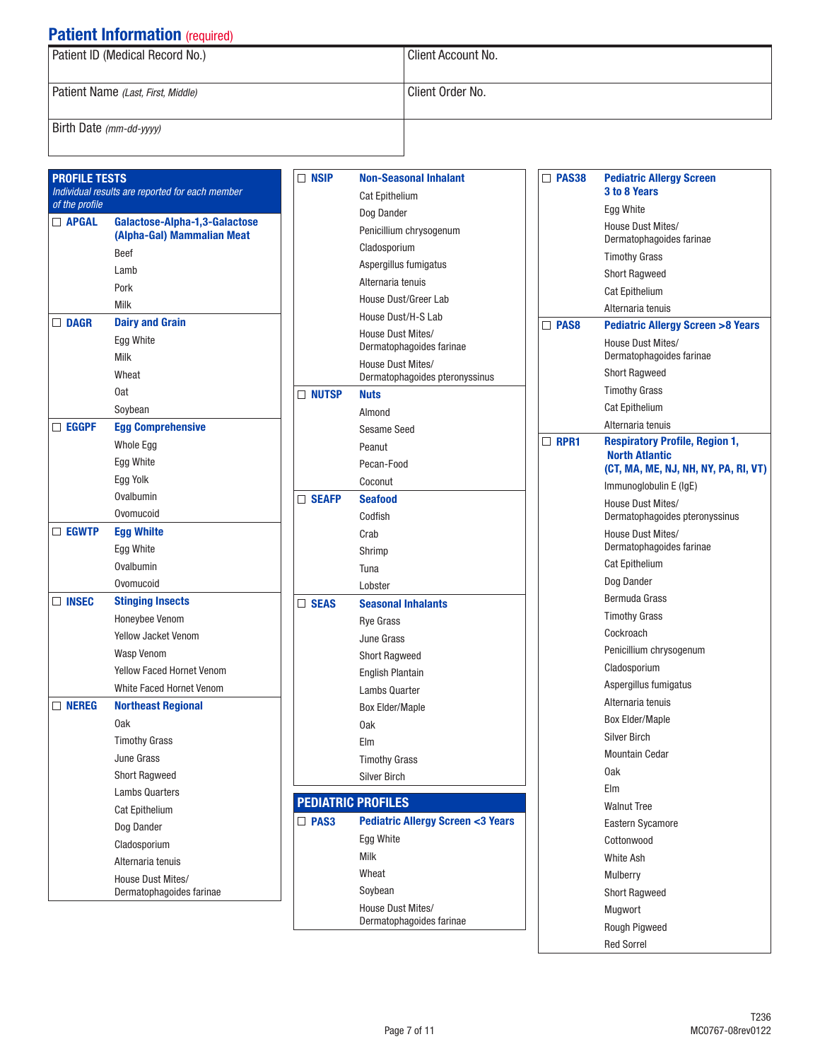| Patient ID (Medical Record No.)    | Client Account No. |  |  |  |
|------------------------------------|--------------------|--|--|--|
| Patient Name (Last, First, Middle) | Client Order No.   |  |  |  |
| Birth Date (mm-dd-yyyy)            |                    |  |  |  |

| <b>PROFILE TESTS</b><br>$\Box$ NS<br>Individual results are reported for each member |                                                             |                       |  |  |
|--------------------------------------------------------------------------------------|-------------------------------------------------------------|-----------------------|--|--|
| of the profile                                                                       |                                                             |                       |  |  |
| $\Box$ APGAL                                                                         | Galactose-Alpha-1,3-Galactose<br>(Alpha-Gal) Mammalian Meat |                       |  |  |
|                                                                                      | Beef                                                        |                       |  |  |
|                                                                                      | Lamb                                                        |                       |  |  |
|                                                                                      | Pork                                                        |                       |  |  |
|                                                                                      | Milk                                                        |                       |  |  |
| $\Box$ dagr                                                                          | <b>Dairy and Grain</b>                                      |                       |  |  |
|                                                                                      | Egg White                                                   |                       |  |  |
|                                                                                      | Milk                                                        |                       |  |  |
|                                                                                      | Wheat                                                       |                       |  |  |
|                                                                                      | 0at                                                         | $\Box$ NU $\Box$      |  |  |
|                                                                                      | Soybean                                                     |                       |  |  |
| $\Box$ eggpf                                                                         | <b>Egg Comprehensive</b>                                    |                       |  |  |
|                                                                                      | Whole Egg                                                   |                       |  |  |
|                                                                                      | Egg White                                                   |                       |  |  |
|                                                                                      | Egg Yolk                                                    |                       |  |  |
|                                                                                      | Ovalbumin                                                   | $\square$ Se $\prime$ |  |  |
|                                                                                      | Ovomucoid                                                   |                       |  |  |
| $\Box$ egwtp                                                                         | <b>Egg Whilte</b>                                           |                       |  |  |
|                                                                                      | Egg White                                                   |                       |  |  |
|                                                                                      | Ovalbumin                                                   |                       |  |  |
|                                                                                      | Ovomucoid                                                   |                       |  |  |
| $\Box$ insec                                                                         | <b>Stinging Insects</b>                                     | $\Box$ SE/            |  |  |
|                                                                                      | Honeybee Venom                                              |                       |  |  |
|                                                                                      | <b>Yellow Jacket Venom</b>                                  |                       |  |  |
|                                                                                      | <b>Wasp Venom</b>                                           |                       |  |  |
|                                                                                      | <b>Yellow Faced Hornet Venom</b>                            |                       |  |  |
|                                                                                      | <b>White Faced Hornet Venom</b>                             |                       |  |  |
| $\Box$ nereg                                                                         | <b>Northeast Regional</b>                                   |                       |  |  |
|                                                                                      | 0ak                                                         |                       |  |  |
|                                                                                      | <b>Timothy Grass</b>                                        |                       |  |  |
|                                                                                      | June Grass                                                  |                       |  |  |
|                                                                                      | <b>Short Ragweed</b>                                        |                       |  |  |
|                                                                                      | <b>Lambs Quarters</b>                                       | <b>PEDI</b>           |  |  |
|                                                                                      | <b>Cat Epithelium</b>                                       |                       |  |  |
|                                                                                      | Dog Dander                                                  | $\Box$ PA             |  |  |
|                                                                                      | Cladosporium                                                |                       |  |  |
|                                                                                      | Alternaria tenuis                                           |                       |  |  |
|                                                                                      | House Dust Mites/<br>Dermatophagoides farinae               |                       |  |  |
|                                                                                      |                                                             |                       |  |  |

| $\Box$ NSIP  | <b>Non-Seasonal Inhalant</b>                        |
|--------------|-----------------------------------------------------|
|              | <b>Cat Epithelium</b>                               |
|              | Dog Dander                                          |
|              | Penicillium chrysogenum                             |
|              | Cladosporium                                        |
|              | Aspergillus fumigatus                               |
|              | Alternaria tenuis                                   |
|              | House Dust/Greer Lab                                |
|              | House Dust/H-S Lab                                  |
|              | House Dust Mites/<br>Dermatophagoides farinae       |
|              | House Dust Mites/<br>Dermatophagoides pteronyssinus |
| <b>NUTSP</b> | <b>Nuts</b>                                         |
|              | Almond                                              |
|              | Sesame Seed                                         |
|              | Peanut                                              |
|              | Pecan-Food                                          |
|              | Coconut                                             |
| $\Box$ SEAFP | <b>Seafood</b>                                      |
|              | Codfish                                             |
|              | Crab                                                |
|              | Shrimp                                              |
|              | Tuna                                                |
|              | Lobster                                             |
| $\Box$ SEAS  | <b>Seasonal Inhalants</b>                           |
|              | <b>Rye Grass</b>                                    |
|              | June Grass                                          |
|              | <b>Short Ragweed</b>                                |
|              | <b>English Plantain</b>                             |
|              | <b>Lambs Quarter</b>                                |
|              | <b>Box Elder/Maple</b>                              |
|              | 0ak                                                 |
|              | Elm                                                 |
|              | <b>Timothy Grass</b>                                |
|              | <b>Silver Birch</b>                                 |
|              | <b>PEDIATRIC PROFILES</b>                           |
| $\Box$ PAS3  | <b>Pediatric Allergy Screen &lt;3 Years</b>         |
|              | Egg White                                           |
|              | Milk                                                |
|              | Wheat                                               |
|              | Soybean                                             |
|              | House Dust Mites/                                   |
|              | Dermatophagoides farinae                            |

| <b>PAS38</b> | <b>Pediatric Allergy Screen</b><br>3 to 8 Years               |
|--------------|---------------------------------------------------------------|
|              | Egg White                                                     |
|              | House Dust Mites/<br>Dermatophagoides farinae                 |
|              | <b>Timothy Grass</b>                                          |
|              | <b>Short Ragweed</b>                                          |
|              | <b>Cat Epithelium</b>                                         |
|              | Alternaria tenuis                                             |
| PAS8         | <b>Pediatric Allergy Screen &gt;8 Years</b>                   |
|              | House Dust Mites/<br>Dermatophagoides farinae                 |
|              | <b>Short Ragweed</b>                                          |
|              | <b>Timothy Grass</b>                                          |
|              | <b>Cat Epithelium</b>                                         |
|              | Alternaria tenuis                                             |
| RPR1         | <b>Respiratory Profile, Region 1,</b>                         |
|              | <b>North Atlantic</b><br>(CT, MA, ME, NJ, NH, NY, PA, RI, VT) |
|              | Immunoglobulin E (IgE)                                        |
|              | House Dust Mites/                                             |
|              | Dermatophagoides pteronyssinus                                |
|              | House Dust Mites/<br>Dermatophagoides farinae                 |
|              | <b>Cat Epithelium</b>                                         |
|              | Dog Dander                                                    |
|              | Bermuda Grass                                                 |
|              | <b>Timothy Grass</b>                                          |
|              | Cockroach                                                     |
|              | Penicillium chrysogenum                                       |
|              | Cladosporium                                                  |
|              | Aspergillus fumigatus                                         |
|              | Alternaria tenuis                                             |
|              | <b>Box Elder/Maple</b>                                        |
|              | <b>Silver Birch</b>                                           |
|              | Mountain Cedar                                                |
|              | 0ak                                                           |
|              | Elm                                                           |
|              | <b>Walnut Tree</b>                                            |
|              | <b>Eastern Sycamore</b>                                       |
|              | Cottonwood                                                    |
|              | White Ash                                                     |
|              | Mulberry                                                      |
|              | <b>Short Ragweed</b>                                          |
|              | Mugwort                                                       |
|              | Rough Pigweed                                                 |
|              | <b>Red Sorrel</b>                                             |
|              |                                                               |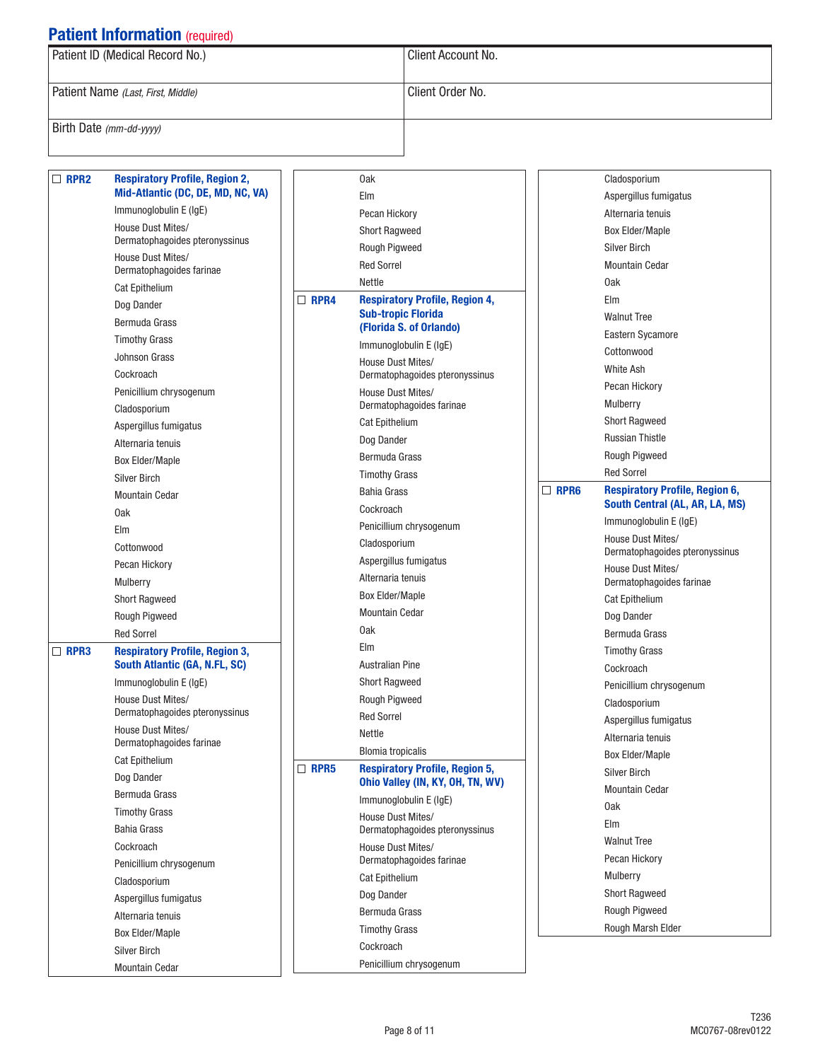|  | Patient ID (Medical Record No.)    | Client Account No. |  |  |
|--|------------------------------------|--------------------|--|--|
|  | Patient Name (Last, First, Middle) | Client Order No.   |  |  |
|  | Birth Date (mm-dd-yyyy)            |                    |  |  |

| $\Box$ RPR2 | <b>Respiratory Profile, Region 2,</b>               |             | 0ak                                                 |             | Cladosporium                                  |
|-------------|-----------------------------------------------------|-------------|-----------------------------------------------------|-------------|-----------------------------------------------|
|             | Mid-Atlantic (DC, DE, MD, NC, VA)                   |             | Elm                                                 |             | Aspergillus fumigatus                         |
|             | Immunoglobulin E (IgE)                              |             | Pecan Hickory                                       |             | Alternaria tenuis                             |
|             | House Dust Mites/                                   |             | <b>Short Ragweed</b>                                |             | <b>Box Elder/Maple</b>                        |
|             | Dermatophagoides pteronyssinus<br>House Dust Mites/ |             | Rough Pigweed                                       |             | <b>Silver Birch</b>                           |
|             | Dermatophagoides farinae                            |             | <b>Red Sorrel</b>                                   |             | <b>Mountain Cedar</b>                         |
|             | <b>Cat Epithelium</b>                               |             | Nettle                                              |             | 0ak                                           |
|             | Dog Dander                                          | $\Box$ RPR4 | <b>Respiratory Profile, Region 4,</b>               |             | Elm                                           |
|             | Bermuda Grass                                       |             | <b>Sub-tropic Florida</b>                           |             | <b>Walnut Tree</b>                            |
|             | <b>Timothy Grass</b>                                |             | (Florida S. of Orlando)                             |             | Eastern Sycamore                              |
|             | <b>Johnson Grass</b>                                |             | Immunoglobulin E (IgE)                              |             | Cottonwood                                    |
|             | Cockroach                                           |             | House Dust Mites/<br>Dermatophagoides pteronyssinus |             | White Ash                                     |
|             | Penicillium chrysogenum                             |             | House Dust Mites/                                   |             | Pecan Hickory                                 |
|             | Cladosporium                                        |             | Dermatophagoides farinae                            |             | Mulberry                                      |
|             | Aspergillus fumigatus                               |             | Cat Epithelium                                      |             | <b>Short Ragweed</b>                          |
|             | Alternaria tenuis                                   |             | Dog Dander                                          |             | <b>Russian Thistle</b>                        |
|             | <b>Box Elder/Maple</b>                              |             | Bermuda Grass                                       |             | Rough Pigweed                                 |
|             | <b>Silver Birch</b>                                 |             | <b>Timothy Grass</b>                                |             | <b>Red Sorrel</b>                             |
|             | <b>Mountain Cedar</b>                               |             | <b>Bahia Grass</b>                                  | $\Box$ RPR6 | <b>Respiratory Profile, Region 6,</b>         |
|             | 0ak                                                 |             | Cockroach                                           |             | South Central (AL, AR, LA, MS)                |
|             | Elm                                                 |             | Penicillium chrysogenum                             |             | Immunoglobulin E (IgE)                        |
|             | Cottonwood                                          |             | Cladosporium                                        |             | House Dust Mites/                             |
|             | Pecan Hickory                                       |             | Aspergillus fumigatus                               |             | Dermatophagoides pteronyssinus                |
|             | Mulberry                                            |             | Alternaria tenuis                                   |             | House Dust Mites/<br>Dermatophagoides farinae |
|             | <b>Short Ragweed</b>                                |             | <b>Box Elder/Maple</b>                              |             | Cat Epithelium                                |
|             | Rough Pigweed                                       |             | <b>Mountain Cedar</b>                               |             | Dog Dander                                    |
|             | <b>Red Sorrel</b>                                   |             | 0ak                                                 |             | Bermuda Grass                                 |
| $\Box$ RPR3 | <b>Respiratory Profile, Region 3,</b>               |             | Elm                                                 |             | <b>Timothy Grass</b>                          |
|             | <b>South Atlantic (GA, N.FL, SC)</b>                |             | <b>Australian Pine</b>                              |             | Cockroach                                     |
|             | Immunoglobulin E (IgE)                              |             | <b>Short Ragweed</b>                                |             | Penicillium chrysogenum                       |
|             | House Dust Mites/                                   |             | Rough Pigweed                                       |             | Cladosporium                                  |
|             | Dermatophagoides pteronyssinus                      |             | <b>Red Sorrel</b>                                   |             | Aspergillus fumigatus                         |
|             | <b>House Dust Mites/</b>                            |             | Nettle                                              |             | Alternaria tenuis                             |
|             | Dermatophagoides farinae                            |             | <b>Blomia tropicalis</b>                            |             | <b>Box Elder/Maple</b>                        |
|             | Cat Epithelium                                      | $\Box$ RPR5 | <b>Respiratory Profile, Region 5,</b>               |             | <b>Silver Birch</b>                           |
|             | Dog Dander                                          |             | Ohio Valley (IN, KY, OH, TN, WV)                    |             | <b>Mountain Cedar</b>                         |
|             | Bermuda Grass                                       |             | Immunoglobulin E (IgE)                              |             | 0ak                                           |
|             | <b>Timothy Grass</b>                                |             | House Dust Mites/                                   |             | Elm                                           |
|             | <b>Bahia Grass</b>                                  |             | Dermatophagoides pteronyssinus                      |             | <b>Walnut Tree</b>                            |
|             | Cockroach                                           |             | House Dust Mites/                                   |             | Pecan Hickory                                 |
|             | Penicillium chrysogenum                             |             | Dermatophagoides farinae                            |             | Mulberry                                      |
|             | Cladosporium                                        |             | Cat Epithelium                                      |             | <b>Short Ragweed</b>                          |
|             | Aspergillus fumigatus                               |             | Dog Dander                                          |             | <b>Rough Pigweed</b>                          |
|             | Alternaria tenuis                                   |             | Bermuda Grass                                       |             | Rough Marsh Elder                             |
|             | <b>Box Elder/Maple</b>                              |             | <b>Timothy Grass</b>                                |             |                                               |
|             | <b>Silver Birch</b>                                 |             | Cockroach                                           |             |                                               |
|             | <b>Mountain Cedar</b>                               |             | Penicillium chrysogenum                             |             |                                               |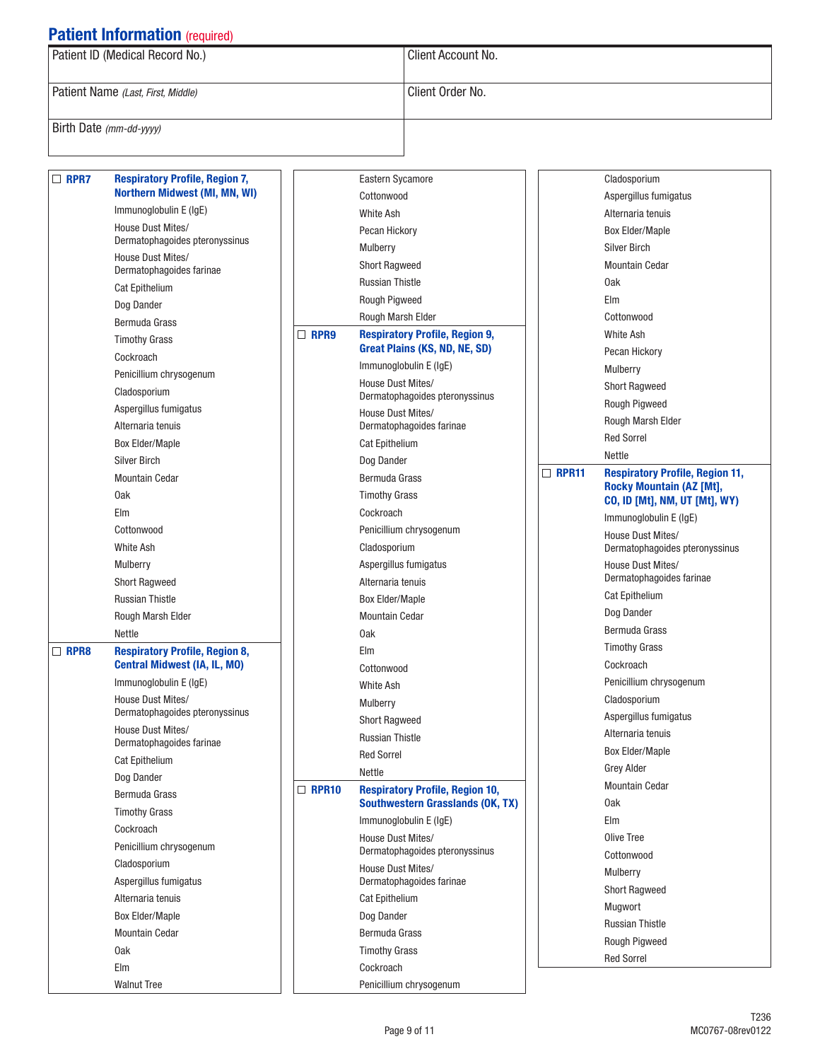| Patient ID (Medical Record No.)    | Client Account No. |
|------------------------------------|--------------------|
| Patient Name (Last, First, Middle) | Client Order No.   |
| Birth Date (mm-dd-yyyy)            |                    |

| $\Box$ RPR7 | <b>Respiratory Profile, Region 7,</b>               |              | Eastern Sycamore                              |              | Cladosporium                                        |
|-------------|-----------------------------------------------------|--------------|-----------------------------------------------|--------------|-----------------------------------------------------|
|             | <b>Northern Midwest (MI, MN, WI)</b>                |              | Cottonwood                                    |              | Aspergillus fumigatus                               |
|             | Immunoglobulin E (IgE)                              |              | White Ash                                     |              | Alternaria tenuis                                   |
|             | House Dust Mites/<br>Dermatophagoides pteronyssinus |              | Pecan Hickory                                 |              | <b>Box Elder/Maple</b>                              |
|             | House Dust Mites/                                   |              | Mulberry                                      |              | <b>Silver Birch</b>                                 |
|             | Dermatophagoides farinae                            |              | <b>Short Ragweed</b>                          |              | <b>Mountain Cedar</b>                               |
|             | <b>Cat Epithelium</b>                               |              | <b>Russian Thistle</b>                        |              | 0ak                                                 |
|             | Dog Dander                                          |              | Rough Pigweed                                 |              | Elm                                                 |
|             | Bermuda Grass                                       |              | Rough Marsh Elder                             |              | Cottonwood                                          |
|             | <b>Timothy Grass</b>                                | $\Box$ RPR9  | <b>Respiratory Profile, Region 9,</b>         |              | White Ash                                           |
|             | Cockroach                                           |              | Great Plains (KS, ND, NE, SD)                 |              | Pecan Hickory                                       |
|             | Penicillium chrysogenum                             |              | Immunoglobulin E (IgE)                        |              | Mulberry                                            |
|             | Cladosporium                                        |              | House Dust Mites/                             |              | <b>Short Ragweed</b>                                |
|             | Aspergillus fumigatus                               |              | Dermatophagoides pteronyssinus                |              | Rough Pigweed                                       |
|             | Alternaria tenuis                                   |              | House Dust Mites/<br>Dermatophagoides farinae |              | Rough Marsh Elder                                   |
|             | <b>Box Elder/Maple</b>                              |              | <b>Cat Epithelium</b>                         |              | <b>Red Sorrel</b>                                   |
|             | <b>Silver Birch</b>                                 |              | Dog Dander                                    |              | Nettle                                              |
|             | <b>Mountain Cedar</b>                               |              | Bermuda Grass                                 | $\Box$ RPR11 | <b>Respiratory Profile, Region 11,</b>              |
|             | 0ak                                                 |              | <b>Timothy Grass</b>                          |              | <b>Rocky Mountain (AZ [Mt],</b>                     |
|             | Elm                                                 |              | Cockroach                                     |              | <b>CO, ID [Mt], NM, UT [Mt], WY)</b>                |
|             | Cottonwood                                          |              | Penicillium chrysogenum                       |              | Immunoglobulin E (IgE)                              |
|             | <b>White Ash</b>                                    |              | Cladosporium                                  |              | House Dust Mites/<br>Dermatophagoides pteronyssinus |
|             | Mulberry                                            |              | Aspergillus fumigatus                         |              | House Dust Mites/                                   |
|             | <b>Short Ragweed</b>                                |              | Alternaria tenuis                             |              | Dermatophagoides farinae                            |
|             | <b>Russian Thistle</b>                              |              | <b>Box Elder/Maple</b>                        |              | <b>Cat Epithelium</b>                               |
|             | Rough Marsh Elder                                   |              | <b>Mountain Cedar</b>                         |              | Dog Dander                                          |
|             | Nettle                                              |              | 0ak                                           |              | <b>Bermuda Grass</b>                                |
| $\Box$ RPR8 | <b>Respiratory Profile, Region 8,</b>               |              | Elm                                           |              | <b>Timothy Grass</b>                                |
|             | <b>Central Midwest (IA, IL, MO)</b>                 |              | Cottonwood                                    |              | Cockroach                                           |
|             | Immunoglobulin E (IgE)                              |              | <b>White Ash</b>                              |              | Penicillium chrysogenum                             |
|             | House Dust Mites/                                   |              | Mulberry                                      |              | Cladosporium                                        |
|             | Dermatophagoides pteronyssinus                      |              | <b>Short Ragweed</b>                          |              | Aspergillus fumigatus                               |
|             | House Dust Mites/                                   |              | <b>Russian Thistle</b>                        |              | Alternaria tenuis                                   |
|             | Dermatophagoides farinae                            |              | <b>Red Sorrel</b>                             |              | <b>Box Elder/Maple</b>                              |
|             | <b>Cat Epithelium</b>                               |              | Nettle                                        |              | Grey Alder                                          |
|             | Dog Dander<br><b>Bermuda Grass</b>                  | $\Box$ RPR10 | <b>Respiratory Profile, Region 10,</b>        |              | <b>Mountain Cedar</b>                               |
|             |                                                     |              | <b>Southwestern Grasslands (OK, TX)</b>       |              | 0ak                                                 |
|             | <b>Timothy Grass</b><br>Cockroach                   |              | Immunoglobulin E (IgE)                        |              | Elm                                                 |
|             |                                                     |              | House Dust Mites/                             |              | Olive Tree                                          |
|             | Penicillium chrysogenum                             |              | Dermatophagoides pteronyssinus                |              | Cottonwood                                          |
|             | Cladosporium<br>Aspergillus fumigatus               |              | House Dust Mites/<br>Dermatophagoides farinae |              | Mulberry                                            |
|             | Alternaria tenuis                                   |              | <b>Cat Epithelium</b>                         |              | <b>Short Ragweed</b>                                |
|             |                                                     |              |                                               |              | Mugwort                                             |
|             | <b>Box Elder/Maple</b><br><b>Mountain Cedar</b>     |              | Dog Dander<br>Bermuda Grass                   |              | <b>Russian Thistle</b>                              |
|             | 0ak                                                 |              |                                               |              | Rough Pigweed                                       |
|             |                                                     |              | <b>Timothy Grass</b>                          |              | <b>Red Sorrel</b>                                   |
|             | Elm                                                 |              | Cockroach                                     |              |                                                     |
|             | <b>Walnut Tree</b>                                  |              | Penicillium chrysogenum                       |              |                                                     |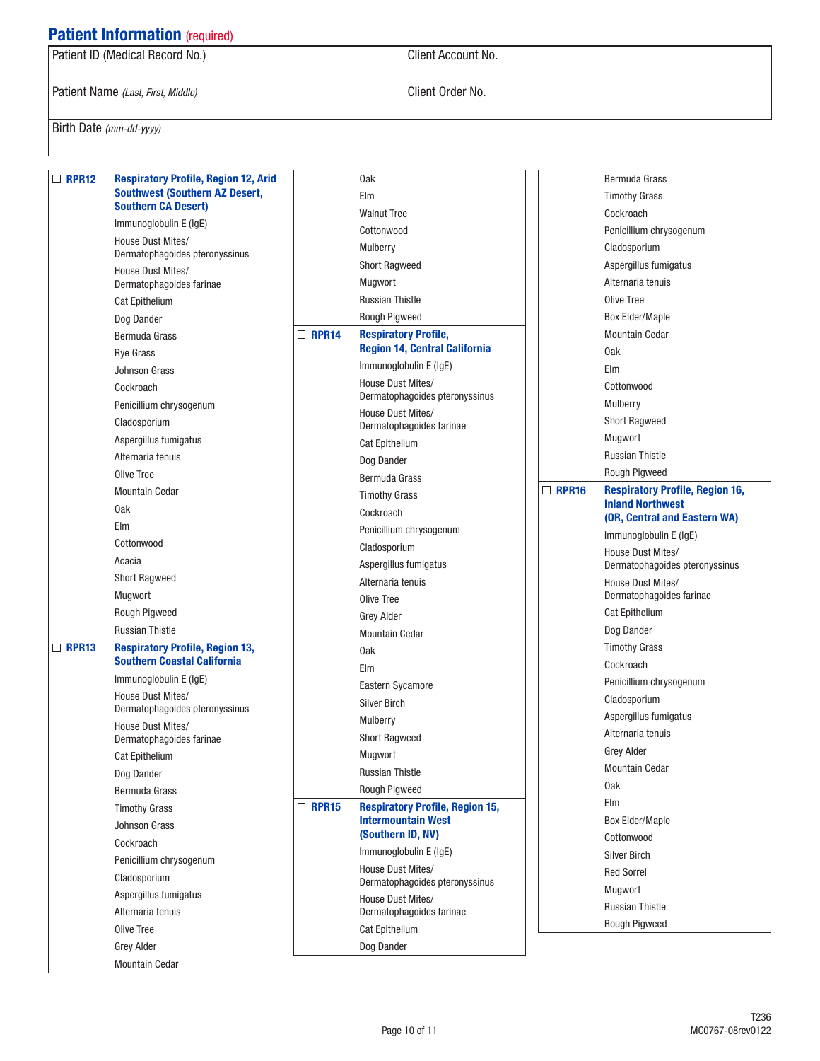| Patient ID (Medical Record No.)    | Client Account No. |  |  |  |
|------------------------------------|--------------------|--|--|--|
| Patient Name (Last, First, Middle) | Client Order No.   |  |  |  |
| Birth Date $(mm$ -dd-yyyy)         |                    |  |  |  |

| $\Box$ RPR12 | <b>Respiratory Profile, Region 12, Arid</b>                         |              | 0ak                                                 |              | <b>Bermuda Grass</b>                                    |
|--------------|---------------------------------------------------------------------|--------------|-----------------------------------------------------|--------------|---------------------------------------------------------|
|              | <b>Southwest (Southern AZ Desert,</b><br><b>Southern CA Desert)</b> |              | Elm                                                 |              | <b>Timothy Grass</b>                                    |
|              | Immunoglobulin E (IgE)                                              |              | <b>Walnut Tree</b>                                  |              | Cockroach                                               |
|              | House Dust Mites/                                                   |              | Cottonwood                                          |              | Penicillium chrysogenum                                 |
|              | Dermatophagoides pteronyssinus                                      |              | Mulberry                                            |              | Cladosporium                                            |
|              | House Dust Mites/                                                   |              | <b>Short Ragweed</b>                                |              | Aspergillus fumigatus                                   |
|              | Dermatophagoides farinae                                            |              | Mugwort                                             |              | Alternaria tenuis                                       |
|              | <b>Cat Epithelium</b>                                               |              | <b>Russian Thistle</b>                              |              | Olive Tree                                              |
|              | Dog Dander                                                          |              | Rough Pigweed                                       |              | <b>Box Elder/Maple</b>                                  |
|              | Bermuda Grass                                                       | $\Box$ RPR14 | <b>Respiratory Profile,</b>                         |              | <b>Mountain Cedar</b>                                   |
|              | <b>Rye Grass</b>                                                    |              | <b>Region 14, Central California</b>                |              | 0ak                                                     |
|              | <b>Johnson Grass</b>                                                |              | Immunoglobulin E (IgE)                              |              | Elm                                                     |
|              | Cockroach                                                           |              | House Dust Mites/<br>Dermatophagoides pteronyssinus |              | Cottonwood                                              |
|              | Penicillium chrysogenum                                             |              | House Dust Mites/                                   |              | Mulberry                                                |
|              | Cladosporium                                                        |              | Dermatophagoides farinae                            |              | <b>Short Ragweed</b>                                    |
|              | Aspergillus fumigatus                                               |              | <b>Cat Epithelium</b>                               |              | Mugwort                                                 |
|              | Alternaria tenuis                                                   |              | Dog Dander                                          |              | <b>Russian Thistle</b>                                  |
|              | Olive Tree                                                          |              | Bermuda Grass                                       |              | Rough Pigweed                                           |
|              | <b>Mountain Cedar</b>                                               |              | <b>Timothy Grass</b>                                | $\Box$ RPR16 | <b>Respiratory Profile, Region 16,</b>                  |
|              | 0ak                                                                 |              | Cockroach                                           |              | <b>Inland Northwest</b><br>(OR, Central and Eastern WA) |
|              | Elm                                                                 |              | Penicillium chrysogenum                             |              | Immunoglobulin E (IgE)                                  |
|              | Cottonwood                                                          |              | Cladosporium                                        |              | House Dust Mites/                                       |
|              | Acacia                                                              |              | Aspergillus fumigatus                               |              | Dermatophagoides pteronyssinus                          |
|              | <b>Short Ragweed</b>                                                |              | Alternaria tenuis                                   |              | House Dust Mites/                                       |
|              | Mugwort                                                             |              | Olive Tree                                          |              | Dermatophagoides farinae                                |
|              | Rough Pigweed                                                       |              | <b>Grey Alder</b>                                   |              | <b>Cat Epithelium</b>                                   |
|              | <b>Russian Thistle</b>                                              |              | <b>Mountain Cedar</b>                               |              | Dog Dander                                              |
| $\Box$ RPR13 | <b>Respiratory Profile, Region 13,</b>                              |              | 0ak                                                 |              | <b>Timothy Grass</b>                                    |
|              | <b>Southern Coastal California</b>                                  |              | Elm                                                 |              | Cockroach                                               |
|              | Immunoglobulin E (IgE)                                              |              | <b>Eastern Sycamore</b>                             |              | Penicillium chrysogenum                                 |
|              | House Dust Mites/<br>Dermatophagoides pteronyssinus                 |              | <b>Silver Birch</b>                                 |              | Cladosporium                                            |
|              | House Dust Mites/                                                   |              | Mulberry                                            |              | Aspergillus fumigatus                                   |
|              | Dermatophagoides farinae                                            |              | <b>Short Ragweed</b>                                |              | Alternaria tenuis                                       |
|              | <b>Cat Epithelium</b>                                               |              | Mugwort                                             |              | <b>Grey Alder</b>                                       |
|              | Dog Dander                                                          |              | <b>Russian Thistle</b>                              |              | Mountain Cedar                                          |
|              | Bermuda Grass                                                       |              | Rough Pigweed                                       |              | 0ak                                                     |
|              | <b>Timothy Grass</b>                                                | $\Box$ RPR15 | <b>Respiratory Profile, Region 15,</b>              |              | Elm                                                     |
|              | Johnson Grass                                                       |              | <b>Intermountain West</b>                           |              | <b>Box Elder/Maple</b>                                  |
|              | Cockroach                                                           |              | (Southern ID, NV)                                   |              | Cottonwood                                              |
|              | Penicillium chrysogenum                                             |              | Immunoglobulin E (IgE)                              |              | <b>Silver Birch</b>                                     |
|              | Cladosporium                                                        |              | House Dust Mites/<br>Dermatophagoides pteronyssinus |              | <b>Red Sorrel</b>                                       |
|              | Aspergillus fumigatus                                               |              | House Dust Mites/                                   |              | Mugwort                                                 |
|              | Alternaria tenuis                                                   |              | Dermatophagoides farinae                            |              | <b>Russian Thistle</b>                                  |
|              | Olive Tree                                                          |              | <b>Cat Epithelium</b>                               |              | Rough Pigweed                                           |
|              | <b>Grey Alder</b>                                                   |              | Dog Dander                                          |              |                                                         |
|              | <b>Mountain Cedar</b>                                               |              |                                                     |              |                                                         |